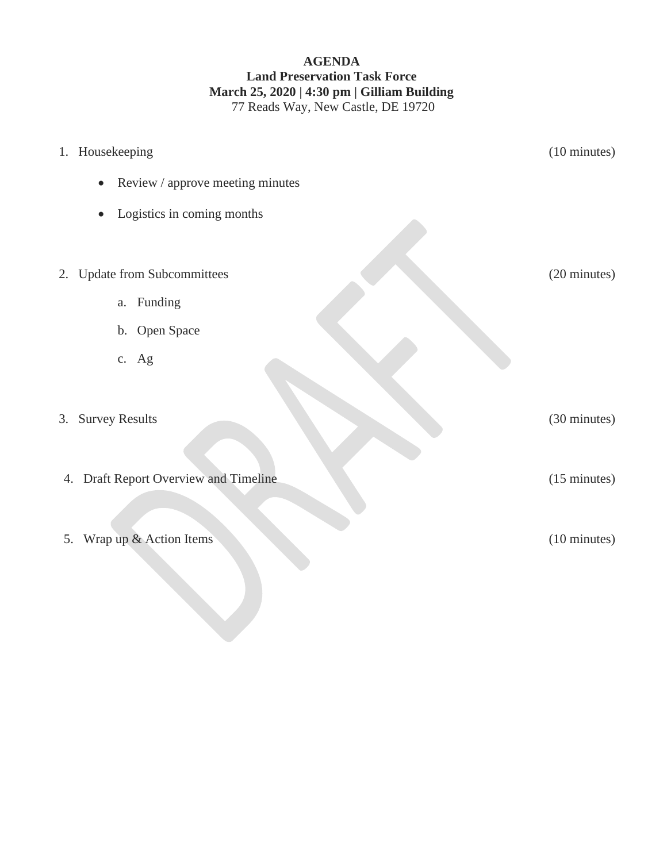## **AGENDA Land Preservation Task Force March 25, 2020 | 4:30 pm | Gilliam Building** 77 Reads Way, New Castle, DE 19720

|    | 1. Housekeeping                               | (10 minutes)           |
|----|-----------------------------------------------|------------------------|
|    | Review / approve meeting minutes<br>$\bullet$ |                        |
|    | Logistics in coming months<br>$\bullet$       |                        |
|    | 2. Update from Subcommittees                  | (20 minutes)           |
|    | Funding<br>a.                                 |                        |
|    | b. Open Space                                 |                        |
|    | c. Ag                                         |                        |
| 3. | <b>Survey Results</b>                         | (30 minutes)           |
|    | 4. Draft Report Overview and Timeline         | $(15 \text{ minutes})$ |
|    | 5. Wrap up & Action Items                     | (10 minutes)           |